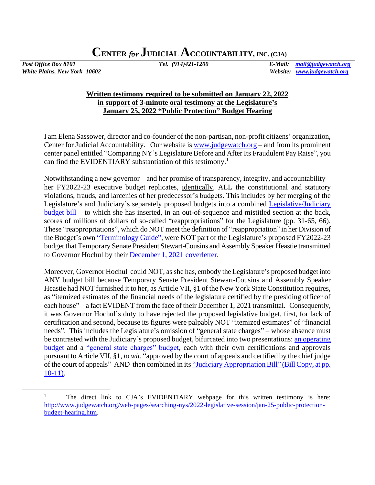*White Plains, New York 10602 Website: [www.judgewatch.org](http://www.judgewatch.org/)*

*Post Office Box 8101 Tel. (914)421-1200 E-Mail: [mail@judgewatch.org](mailto:mail@judgewatch.org)*

## **Written testimony required to be submitted on January 22, 2022 in support of 3-minute oral testimony at the Legislature's January 25, 2022 "Public Protection" Budget Hearing**

I am Elena Sassower, director and co-founder of the non-partisan, non-profit citizens' organization, Center for Judicial Accountability. Our website is [www.judgewatch.org](http://www.judgewatch.org/) – and from its prominent center panel entitled "Comparing NY's Legislature Before and After Its Fraudulent Pay Raise", you can find the EVIDENTIARY substantiation of this testimony.<sup>1</sup>

Notwithstanding a new governor – and her promise of transparency, integrity, and accountability – her FY2022-23 executive budget replicates, identically, ALL the constitutional and statutory violations, frauds, and larcenies of her predecessor's budgets. This includes by her merging of the Legislature's and Judiciary's separately proposed budgets into a combined [Legislative/Judiciary](https://www.budget.ny.gov/pubs/archive/fy23/ex/approps/leg-judi.pdf)  [budget bill](https://www.budget.ny.gov/pubs/archive/fy23/ex/approps/leg-judi.pdf) – to which she has inserted, in an out-of-sequence and mistitled section at the back, scores of millions of dollars of so-called "reappropriations" for the Legislature (pp. 31-65, 66). These "reappropriations", which do NOT meet the definition of "reappropriation" in her Division of the Budget's own ["Terminology Guide",](https://www.budget.ny.gov/citizen/financial/glossary-all.html#r) were NOT part of the Legislature's proposed FY2022-23 budget that Temporary Senate President Stewart-Cousins and Assembly Speaker Heastie transmitted to Governor Hochul by their [December 1, 2021 coverletter.](http://www.judgewatch.org/nys-2021-22-budget/foil/12-2-21-itemized-estimates-leg/December%20Submission%20FY2022_23%20Legislature.pdf)

Moreover, Governor Hochul could NOT, as she has, embody the Legislature's proposed budget into ANY budget bill because Temporary Senate President Stewart-Cousins and Assembly Speaker Heastie had NOT furnished it to her, as Article VII, §1 of the New York State Constitution requires, as "itemized estimates of the financial needs of the legislature certified by the presiding officer of each house" – a fact EVIDENT from the face of their December 1, 2021 transmittal. Consequently, it was Governor Hochul's duty to have rejected the proposed legislative budget, first, for lack of certification and second, because its figures were palpably NOT "itemized estimates" of "financial needs". This includes the Legislature's omission of "general state charges" – whose absence must be contrasted with the Judiciary's proposed budget, bifurcated into two presentations: [an operating](http://ww2.nycourts.gov/sites/default/files/document/files/2021-12/FY2023_FINAL-JUDICIARY_LINKED_0.pdf)  [budget](http://ww2.nycourts.gov/sites/default/files/document/files/2021-12/FY2023_FINAL-JUDICIARY_LINKED_0.pdf) and a ["general state charges" budget,](http://ww2.nycourts.gov/sites/default/files/document/files/2021-12/FY2023_FINAL-GSC_LINKED.pdf) each with their own certifications and approvals pursuant to Article VII, §1, *to wit*, "approved by the court of appeals and certified by the chief judge of the court of appeals" AND then combined in it[s "Judiciary Appropriation](http://ww2.nycourts.gov/sites/default/files/document/files/2021-12/FY2023_FINAL-JUDICIARY_LINKED_0.pdf) Bill" (Bill Copy, at pp. [10-11\).](http://ww2.nycourts.gov/sites/default/files/document/files/2021-12/FY2023_FINAL-JUDICIARY_LINKED_0.pdf)

<sup>&</sup>lt;sup>1</sup> The direct link to CJA's EVIDENTIARY webpage for this written testimony is here: [http://www.judgewatch.org/web-pages/searching-nys/2022-legislative-session/jan-25-public-protection](http://www.judgewatch.org/web-pages/searching-nys/2022-legislative-session/jan-25-public-protection-budget-hearing.htm)[budget-hearing.htm.](http://www.judgewatch.org/web-pages/searching-nys/2022-legislative-session/jan-25-public-protection-budget-hearing.htm)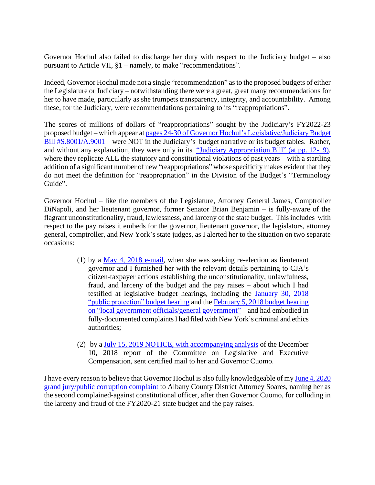Governor Hochul also failed to discharge her duty with respect to the Judiciary budget – also pursuant to Article VII, §1 – namely, to make "recommendations".

Indeed, Governor Hochul made not a single "recommendation" as to the proposed budgets of either the Legislature or Judiciary – notwithstanding there were a great, great many recommendations for her to have made, particularly as she trumpets transparency, integrity, and accountability. Among these, for the Judiciary, were recommendations pertaining to its "reappropriations".

The scores of millions of dollars of "reappropriations" sought by the Judiciary's FY2022-23 proposed budget – which appear a[t pages 24-30 of Governor Hochul's Legislative/Judiciary Budget](https://www.budget.ny.gov/pubs/archive/fy23/ex/approps/leg-judi.pdf)  [Bill #S.8001/A.9001](https://www.budget.ny.gov/pubs/archive/fy23/ex/approps/leg-judi.pdf) – were NOT in the Judiciary's budget narrative or its budget tables. Rather, and without any explanation, they were only in its ["Judiciary Appropriation](http://ww2.nycourts.gov/sites/default/files/document/files/2021-12/FY2023_FINAL-JUDICIARY_LINKED_0.pdf) Bill" (at pp. 12-19), where they replicate ALL the statutory and constitutional violations of past years – with a startling addition of a significant number of new "reappropriations" whose specificity makes evident that they do not meet the definition for "reappropriation" in the Division of the Budget's "Terminology Guide".

Governor Hochul – like the members of the Legislature, Attorney General James, Comptroller DiNapoli, and her lieutenant governor, former Senator Brian Benjamin – is fully-aware of the flagrant unconstitutionality, fraud, lawlessness, and larceny of the state budget. This includes with respect to the pay raises it embeds for the governor, lieutenant governor, the legislators, attorney general, comptroller, and New York's state judges, as I alerted her to the situation on two separate occasions:

- (1) by a [May 4, 2018 e-mail,](http://www.judgewatch.org/web-pages/elections/challengers/hochul-kathy.htm) when she was seeking re-election as lieutenant governor and I furnished her with the relevant details pertaining to CJA's citizen-taxpayer actions establishing the unconstitutionality, unlawfulness, fraud, and larceny of the budget and the pay raises – about which I had testified at legislative budget hearings, including the [January 30, 2018](http://www.judgewatch.org/web-pages/searching-nys/2018-legislature/jan-30-2018-hearing.htm)  ["public protection" budget hearing](http://www.judgewatch.org/web-pages/searching-nys/2018-legislature/jan-30-2018-hearing.htm) and the [February 5, 2018 budget hearing](http://www.judgewatch.org/web-pages/searching-nys/2018-legislature/feb-5-2018-hearing.htm)  [on "local government officials/general government"](http://www.judgewatch.org/web-pages/searching-nys/2018-legislature/feb-5-2018-hearing.htm) – and had embodied in fully-documented complaints I had filed with New York's criminal and ethics authorities;
- (2) by [a July 15, 2019 NOTICE, with accompanying analysis](http://www.judgewatch.org/web-pages/searching-nys/force-of-law-commissions/part-hhh-chapter59-laws-2018/7-15-19-analysis-of-report.htm) of the December 10, 2018 report of the Committee on Legislative and Executive Compensation, sent certified mail to her and Governor Cuomo.

I have every reason to believe that Governor Hochul is also fully knowledgeable of my [June 4, 2020](http://www.judgewatch.org/web-pages/searching-nys/2020-legislative/da-complaints-to-soares-plus-61-more.htm)  [grand jury/public corruption complaint](http://www.judgewatch.org/web-pages/searching-nys/2020-legislative/da-complaints-to-soares-plus-61-more.htm) to Albany County District Attorney Soares, naming her as the second complained-against constitutional officer, after then Governor Cuomo, for colluding in the larceny and fraud of the FY2020-21 state budget and the pay raises.